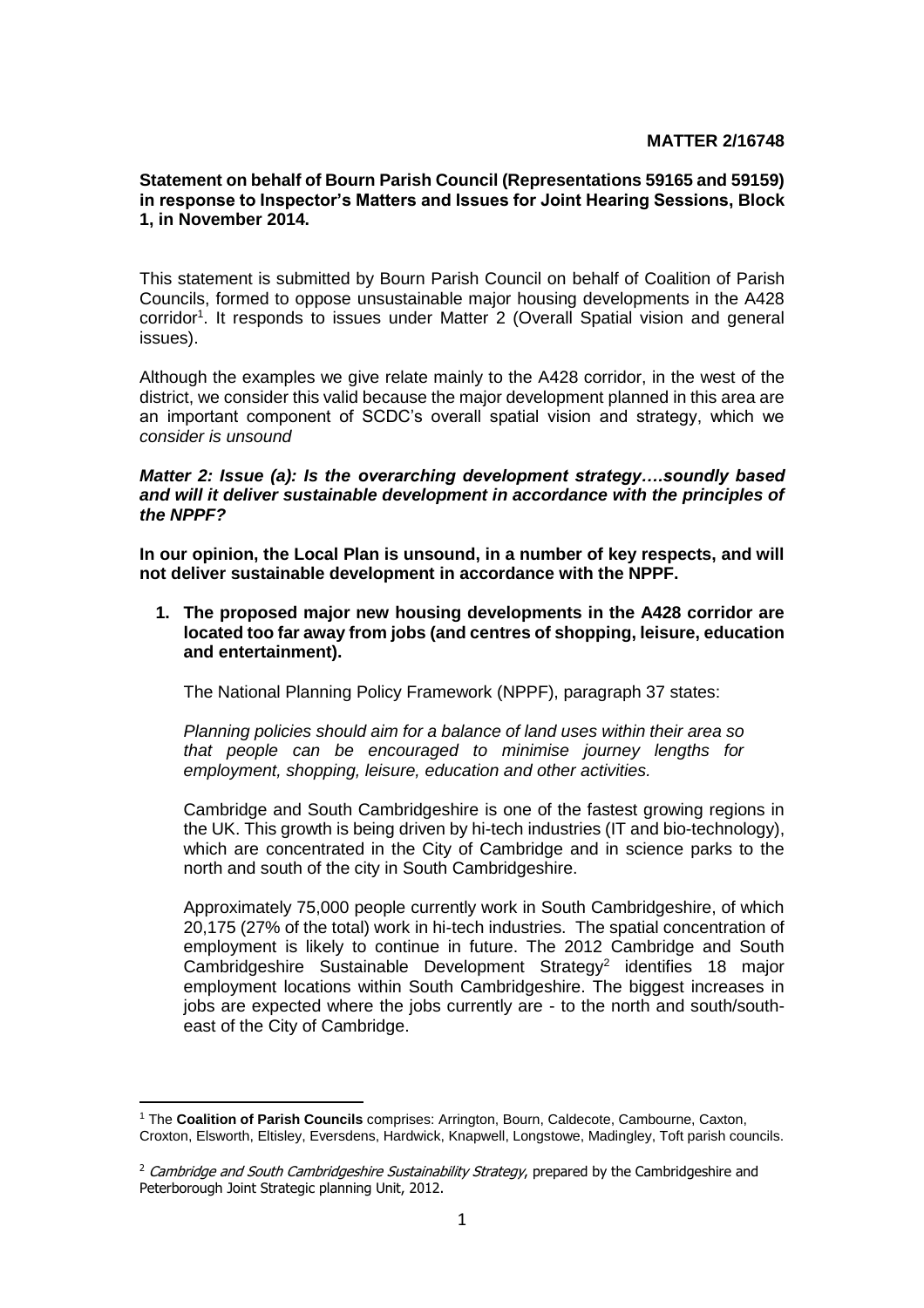## **MATTER 2/16748**

## **Statement on behalf of Bourn Parish Council (Representations 59165 and 59159) in response to Inspector's Matters and Issues for Joint Hearing Sessions, Block 1, in November 2014.**

This statement is submitted by Bourn Parish Council on behalf of Coalition of Parish Councils, formed to oppose unsustainable major housing developments in the A428 corridor<sup>1</sup>. It responds to issues under Matter 2 (Overall Spatial vision and general issues).

Although the examples we give relate mainly to the A428 corridor, in the west of the district, we consider this valid because the major development planned in this area are an important component of SCDC's overall spatial vision and strategy, which we *consider is unsound*

#### *Matter 2: Issue (a): Is the overarching development strategy….soundly based and will it deliver sustainable development in accordance with the principles of the NPPF?*

**In our opinion, the Local Plan is unsound, in a number of key respects, and will not deliver sustainable development in accordance with the NPPF.**

**1. The proposed major new housing developments in the A428 corridor are located too far away from jobs (and centres of shopping, leisure, education and entertainment).**

The National Planning Policy Framework (NPPF), paragraph 37 states:

*Planning policies should aim for a balance of land uses within their area so that people can be encouraged to minimise journey lengths for employment, shopping, leisure, education and other activities.*

Cambridge and South Cambridgeshire is one of the fastest growing regions in the UK. This growth is being driven by hi-tech industries (IT and bio-technology), which are concentrated in the City of Cambridge and in science parks to the north and south of the city in South Cambridgeshire.

Approximately 75,000 people currently work in South Cambridgeshire, of which 20,175 (27% of the total) work in hi-tech industries. The spatial concentration of employment is likely to continue in future. The 2012 Cambridge and South Cambridgeshire Sustainable Development Strategy<sup>2</sup> identifies 18 major employment locations within South Cambridgeshire. The biggest increases in jobs are expected where the jobs currently are - to the north and south/southeast of the City of Cambridge.

j <sup>1</sup> The **Coalition of Parish Councils** comprises: Arrington, Bourn, Caldecote, Cambourne, Caxton, Croxton, Elsworth, Eltisley, Eversdens, Hardwick, Knapwell, Longstowe, Madingley, Toft parish councils.

 $<sup>2</sup>$  Cambridge and South Cambridgeshire Sustainability Strategy, prepared by the Cambridgeshire and</sup> Peterborough Joint Strategic planning Unit, 2012.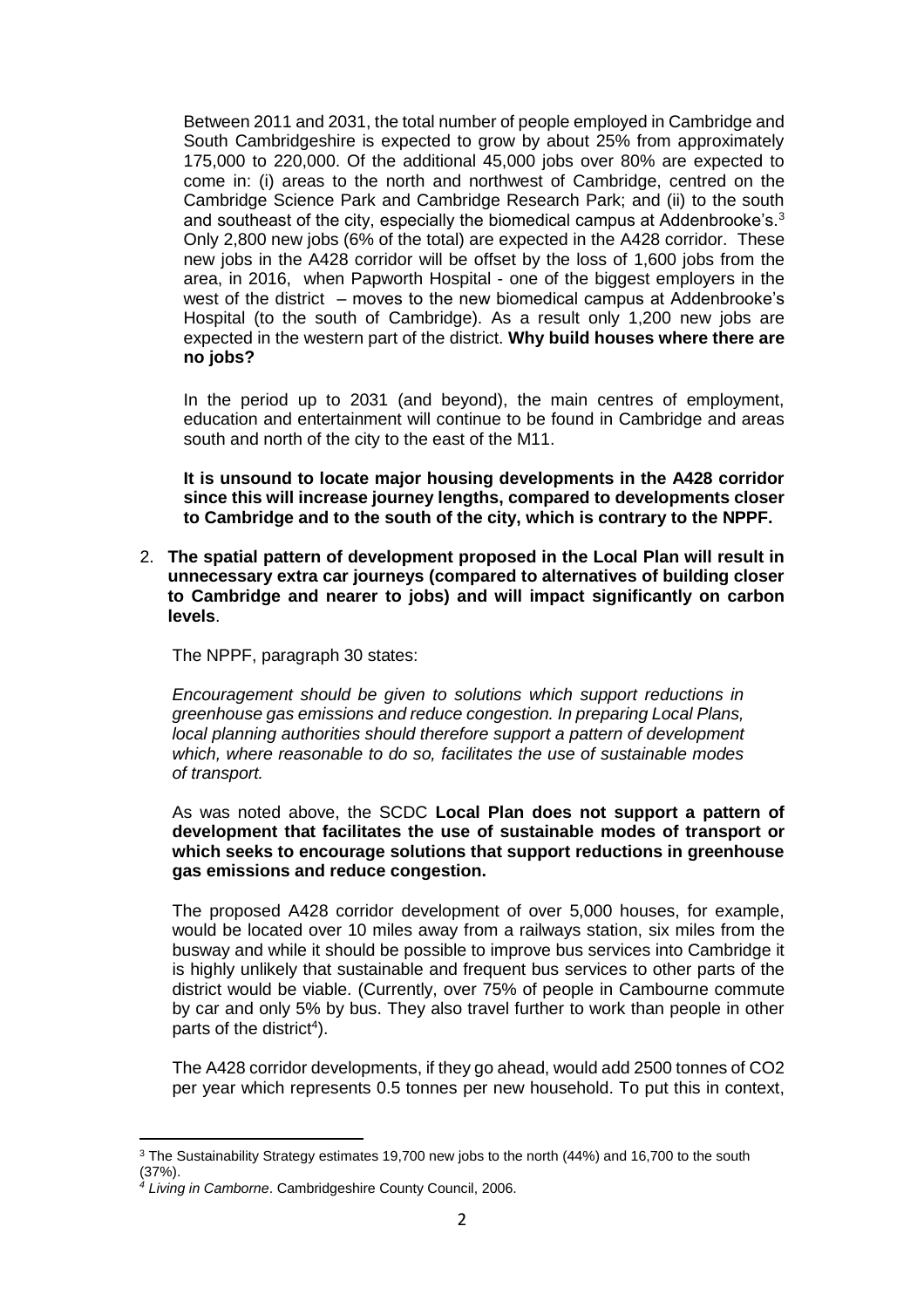Between 2011 and 2031, the total number of people employed in Cambridge and South Cambridgeshire is expected to grow by about 25% from approximately 175,000 to 220,000. Of the additional 45,000 jobs over 80% are expected to come in: (i) areas to the north and northwest of Cambridge, centred on the Cambridge Science Park and Cambridge Research Park; and (ii) to the south and southeast of the city, especially the biomedical campus at Addenbrooke's. $3$ Only 2,800 new jobs (6% of the total) are expected in the A428 corridor. These new jobs in the A428 corridor will be offset by the loss of 1,600 jobs from the area, in 2016, when Papworth Hospital - one of the biggest employers in the west of the district – moves to the new biomedical campus at Addenbrooke's Hospital (to the south of Cambridge). As a result only 1,200 new jobs are expected in the western part of the district. **Why build houses where there are no jobs?**

In the period up to 2031 (and beyond), the main centres of employment, education and entertainment will continue to be found in Cambridge and areas south and north of the city to the east of the M11.

**It is unsound to locate major housing developments in the A428 corridor since this will increase journey lengths, compared to developments closer to Cambridge and to the south of the city, which is contrary to the NPPF.** 

2. **The spatial pattern of development proposed in the Local Plan will result in unnecessary extra car journeys (compared to alternatives of building closer to Cambridge and nearer to jobs) and will impact significantly on carbon levels**.

The NPPF, paragraph 30 states:

*Encouragement should be given to solutions which support reductions in greenhouse gas emissions and reduce congestion. In preparing Local Plans, local planning authorities should therefore support a pattern of development which, where reasonable to do so, facilitates the use of sustainable modes of transport.*

As was noted above, the SCDC **Local Plan does not support a pattern of development that facilitates the use of sustainable modes of transport or which seeks to encourage solutions that support reductions in greenhouse gas emissions and reduce congestion.**

The proposed A428 corridor development of over 5,000 houses, for example, would be located over 10 miles away from a railways station, six miles from the busway and while it should be possible to improve bus services into Cambridge it is highly unlikely that sustainable and frequent bus services to other parts of the district would be viable. (Currently, over 75% of people in Cambourne commute by car and only 5% by bus. They also travel further to work than people in other parts of the district<sup>4</sup>).

The A428 corridor developments, if they go ahead, would add 2500 tonnes of CO2 per year which represents 0.5 tonnes per new household. To put this in context,

j

<sup>3</sup> The Sustainability Strategy estimates 19,700 new jobs to the north (44%) and 16,700 to the south (37%).

*<sup>4</sup> Living in Camborne*. Cambridgeshire County Council, 2006.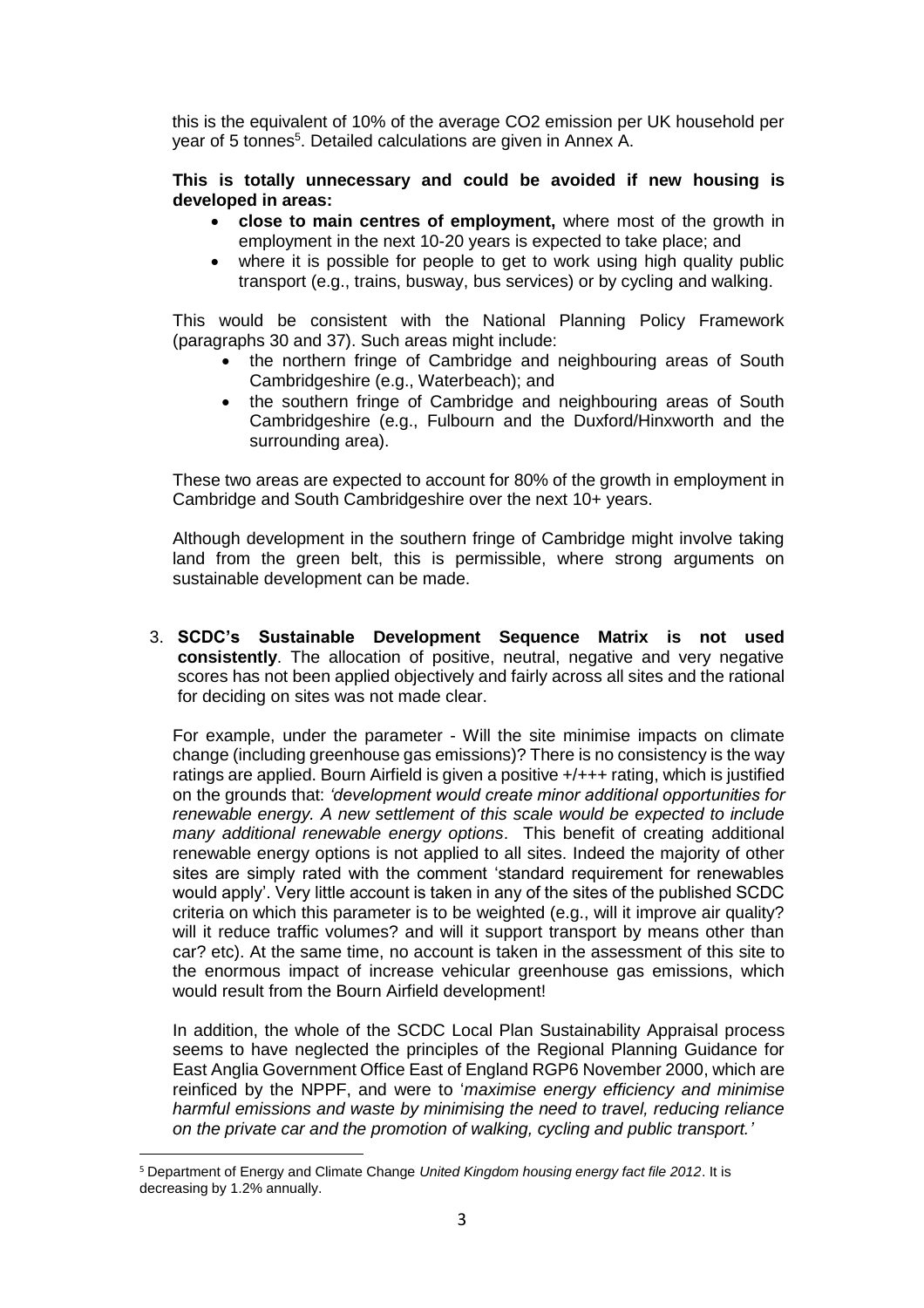this is the equivalent of 10% of the average CO2 emission per UK household per year of 5 tonnes<sup>5</sup>. Detailed calculations are given in Annex A.

## **This is totally unnecessary and could be avoided if new housing is developed in areas:**

- **close to main centres of employment,** where most of the growth in employment in the next 10-20 years is expected to take place; and
- where it is possible for people to get to work using high quality public transport (e.g., trains, busway, bus services) or by cycling and walking.

This would be consistent with the National Planning Policy Framework (paragraphs 30 and 37). Such areas might include:

- the northern fringe of Cambridge and neighbouring areas of South Cambridgeshire (e.g., Waterbeach); and
- the southern fringe of Cambridge and neighbouring areas of South Cambridgeshire (e.g., Fulbourn and the Duxford/Hinxworth and the surrounding area).

These two areas are expected to account for 80% of the growth in employment in Cambridge and South Cambridgeshire over the next 10+ years.

Although development in the southern fringe of Cambridge might involve taking land from the green belt, this is permissible, where strong arguments on sustainable development can be made.

3. **SCDC's Sustainable Development Sequence Matrix is not used consistently**. The allocation of positive, neutral, negative and very negative scores has not been applied objectively and fairly across all sites and the rational for deciding on sites was not made clear.

For example, under the parameter - Will the site minimise impacts on climate change (including greenhouse gas emissions)? There is no consistency is the way ratings are applied. Bourn Airfield is given a positive +/+++ rating, which is justified on the grounds that: *'development would create minor additional opportunities for renewable energy. A new settlement of this scale would be expected to include many additional renewable energy options*. This benefit of creating additional renewable energy options is not applied to all sites. Indeed the majority of other sites are simply rated with the comment 'standard requirement for renewables would apply'. Very little account is taken in any of the sites of the published SCDC criteria on which this parameter is to be weighted (e.g., will it improve air quality? will it reduce traffic volumes? and will it support transport by means other than car? etc). At the same time, no account is taken in the assessment of this site to the enormous impact of increase vehicular greenhouse gas emissions, which would result from the Bourn Airfield development!

In addition, the whole of the SCDC Local Plan Sustainability Appraisal process seems to have neglected the principles of the Regional Planning Guidance for East Anglia Government Office East of England RGP6 November 2000, which are reinficed by the NPPF, and were to '*maximise energy efficiency and minimise harmful emissions and waste by minimising the need to travel, reducing reliance on the private car and the promotion of walking, cycling and public transport.'*

 $\overline{a}$ 

<sup>5</sup> Department of Energy and Climate Change *United Kingdom housing energy fact file 2012*. It is decreasing by 1.2% annually.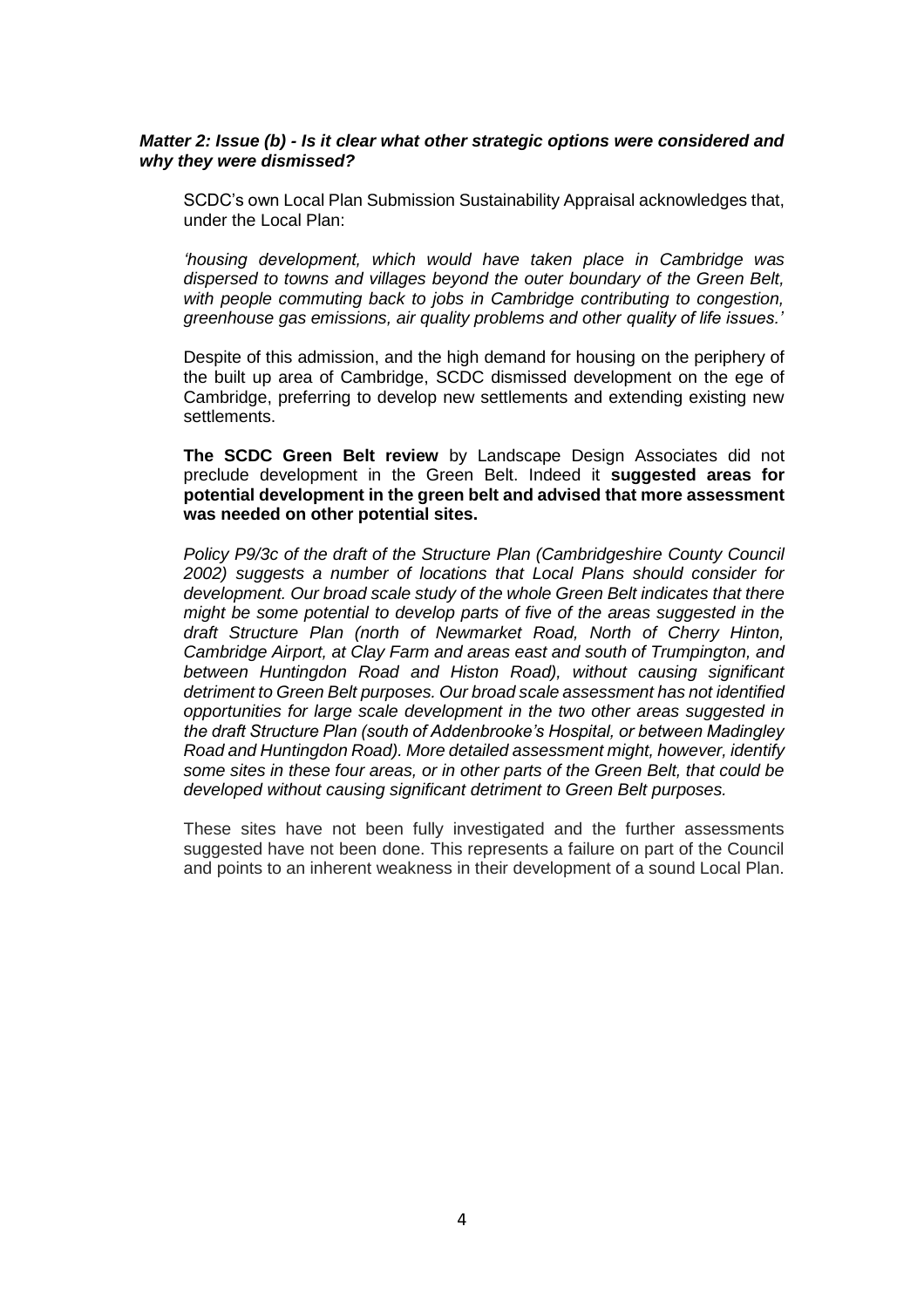## *Matter 2: Issue (b) - Is it clear what other strategic options were considered and why they were dismissed?*

SCDC's own Local Plan Submission Sustainability Appraisal acknowledges that, under the Local Plan:

*'housing development, which would have taken place in Cambridge was dispersed to towns and villages beyond the outer boundary of the Green Belt, with people commuting back to jobs in Cambridge contributing to congestion, greenhouse gas emissions, air quality problems and other quality of life issues.'*

Despite of this admission, and the high demand for housing on the periphery of the built up area of Cambridge, SCDC dismissed development on the ege of Cambridge, preferring to develop new settlements and extending existing new settlements.

**The SCDC Green Belt review** by Landscape Design Associates did not preclude development in the Green Belt. Indeed it **suggested areas for potential development in the green belt and advised that more assessment was needed on other potential sites.**

*Policy P9/3c of the draft of the Structure Plan (Cambridgeshire County Council 2002) suggests a number of locations that Local Plans should consider for development. Our broad scale study of the whole Green Belt indicates that there might be some potential to develop parts of five of the areas suggested in the draft Structure Plan (north of Newmarket Road, North of Cherry Hinton, Cambridge Airport, at Clay Farm and areas east and south of Trumpington, and between Huntingdon Road and Histon Road), without causing significant detriment to Green Belt purposes. Our broad scale assessment has not identified opportunities for large scale development in the two other areas suggested in the draft Structure Plan (south of Addenbrooke's Hospital, or between Madingley Road and Huntingdon Road). More detailed assessment might, however, identify some sites in these four areas, or in other parts of the Green Belt, that could be developed without causing significant detriment to Green Belt purposes.*

These sites have not been fully investigated and the further assessments suggested have not been done. This represents a failure on part of the Council and points to an inherent weakness in their development of a sound Local Plan.